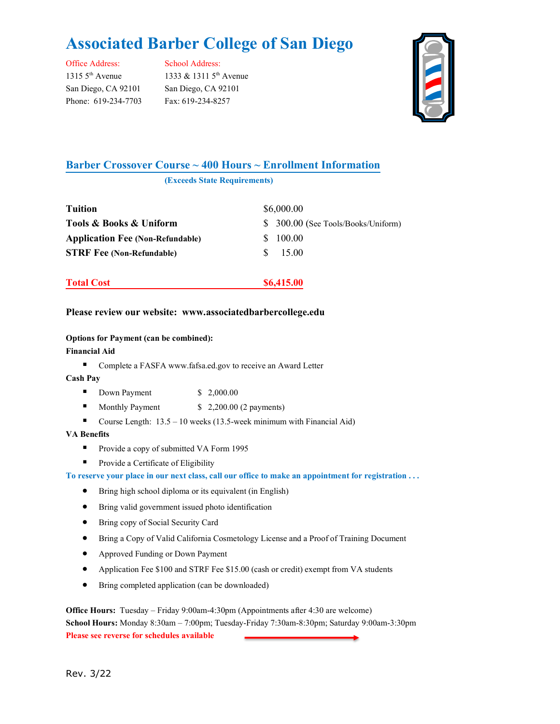# **Associated Barber College of San Diego**

Office Address: School Address:  $13155<sup>th</sup>$  Avenue San Diego, CA 92101 San Diego, CA 92101 Phone: 619-234-7703 Fax: 619-234-8257

1333 & 1311 5<sup>th</sup> Avenue



## **Barber Crossover Course ~ 400 Hours ~ Enrollment Information**

#### **(Exceeds State Requirements)**

| <b>Tuition</b>                          | \$6,000.00                          |  |
|-----------------------------------------|-------------------------------------|--|
| Tools & Books & Uniform                 | \$ 300.00 (See Tools/Books/Uniform) |  |
| <b>Application Fee (Non-Refundable)</b> | \$ 100.00                           |  |
| <b>STRF Fee (Non-Refundable)</b>        | 15.00<br>S.                         |  |
|                                         |                                     |  |

**Total Cost \$6,415.00** 

**Please review our website: www.associatedbarbercollege.edu**

### **Options for Payment (can be combined):**

#### **Financial Aid**

■ Complete a FASFA www.fafsa.ed.gov to receive an Award Letter

#### **Cash Pay**

- Down Payment \$ 2,000.00
- Monthly Payment \$ 2,200.00 (2 payments)
- Course Length:  $13.5 10$  weeks (13.5-week minimum with Financial Aid)

#### **VA Benefits**

- Provide a copy of submitted VA Form 1995
- **•** Provide a Certificate of Eligibility

**To reserve your place in our next class, call our office to make an appointment for registration . . .** 

- Bring high school diploma or its equivalent (in English)
- Bring valid government issued photo identification
- Bring copy of Social Security Card
- Bring a Copy of Valid California Cosmetology License and a Proof of Training Document
- Approved Funding or Down Payment
- Application Fee \$100 and STRF Fee \$15.00 (cash or credit) exempt from VA students
- Bring completed application (can be downloaded)

**Office Hours:** Tuesday – Friday 9:00am-4:30pm (Appointments after 4:30 are welcome) **School Hours:** Monday 8:30am – 7:00pm; Tuesday-Friday 7:30am-8:30pm; Saturday 9:00am-3:30pm **Please see reverse for schedules available**